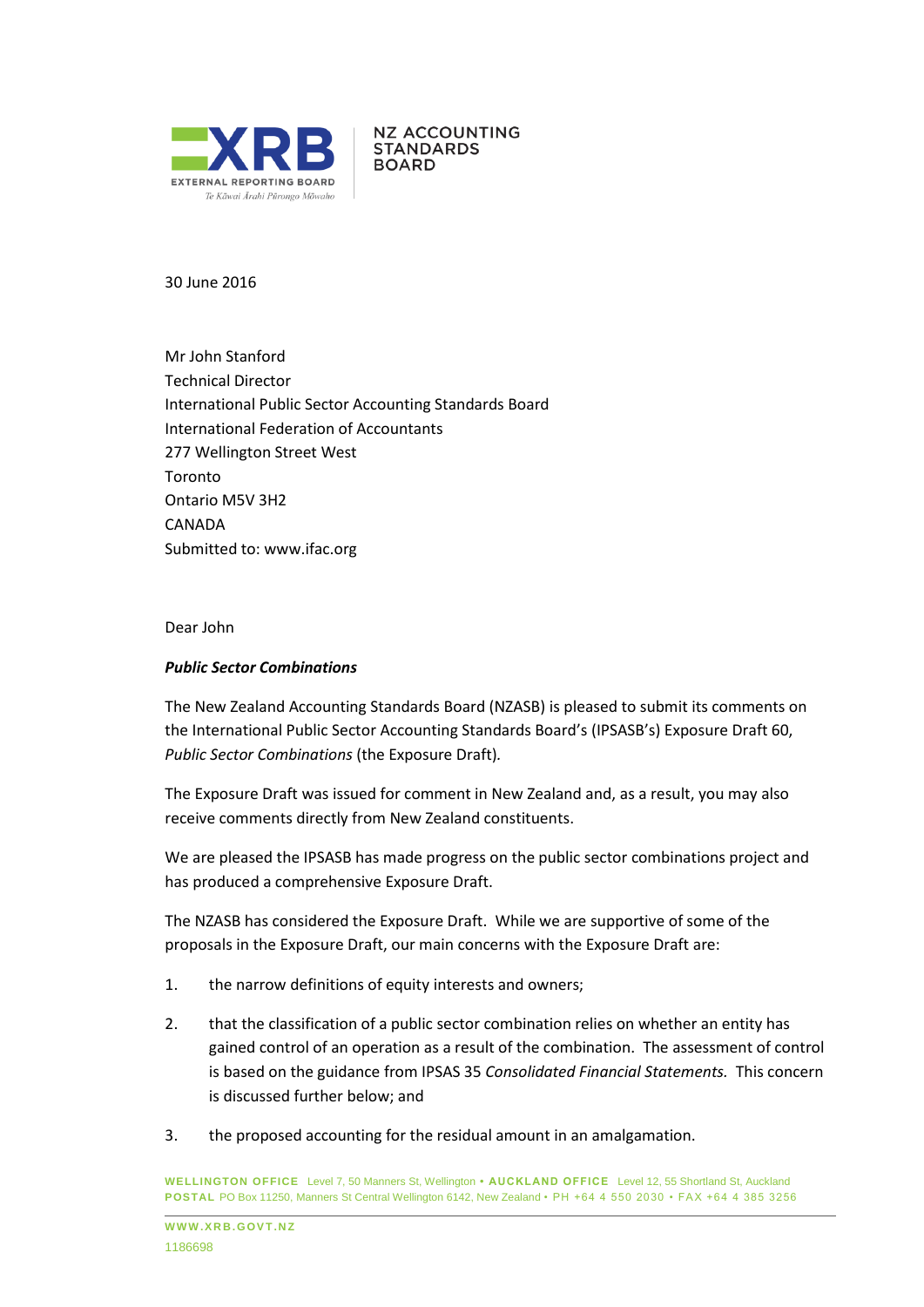

**NZ ACCOUNTING STANDARDS BOARD** 

30 June 2016

Mr John Stanford Technical Director International Public Sector Accounting Standards Board International Federation of Accountants 277 Wellington Street West Toronto Ontario M5V 3H2 **CANADA** Submitted to: [www.ifac.org](http://www.ifac.org/)

Dear John

### *Public Sector Combinations*

The New Zealand Accounting Standards Board (NZASB) is pleased to submit its comments on the International Public Sector Accounting Standards Board's (IPSASB's) Exposure Draft 60, *Public Sector Combinations* (the Exposure Draft)*.*

The Exposure Draft was issued for comment in New Zealand and, as a result, you may also receive comments directly from New Zealand constituents.

We are pleased the IPSASB has made progress on the public sector combinations project and has produced a comprehensive Exposure Draft.

The NZASB has considered the Exposure Draft. While we are supportive of some of the proposals in the Exposure Draft, our main concerns with the Exposure Draft are:

- 1. the narrow definitions of equity interests and owners;
- 2. that the classification of a public sector combination relies on whether an entity has gained control of an operation as a result of the combination. The assessment of control is based on the guidance from IPSAS 35 *Consolidated Financial Statements.* This concern is discussed further below; and
- 3. the proposed accounting for the residual amount in an amalgamation.

**WELLINGTON OFFICE** Level 7, 50 Manners St, Wellington **• AUCKLAND OFFICE** Level 12, 55 Shortland St, Auckland **POSTAL** PO Box 11250, Manners St Central Wellington 6142, New Zealand • PH +64 4 550 2030 • FAX +64 4 385 3256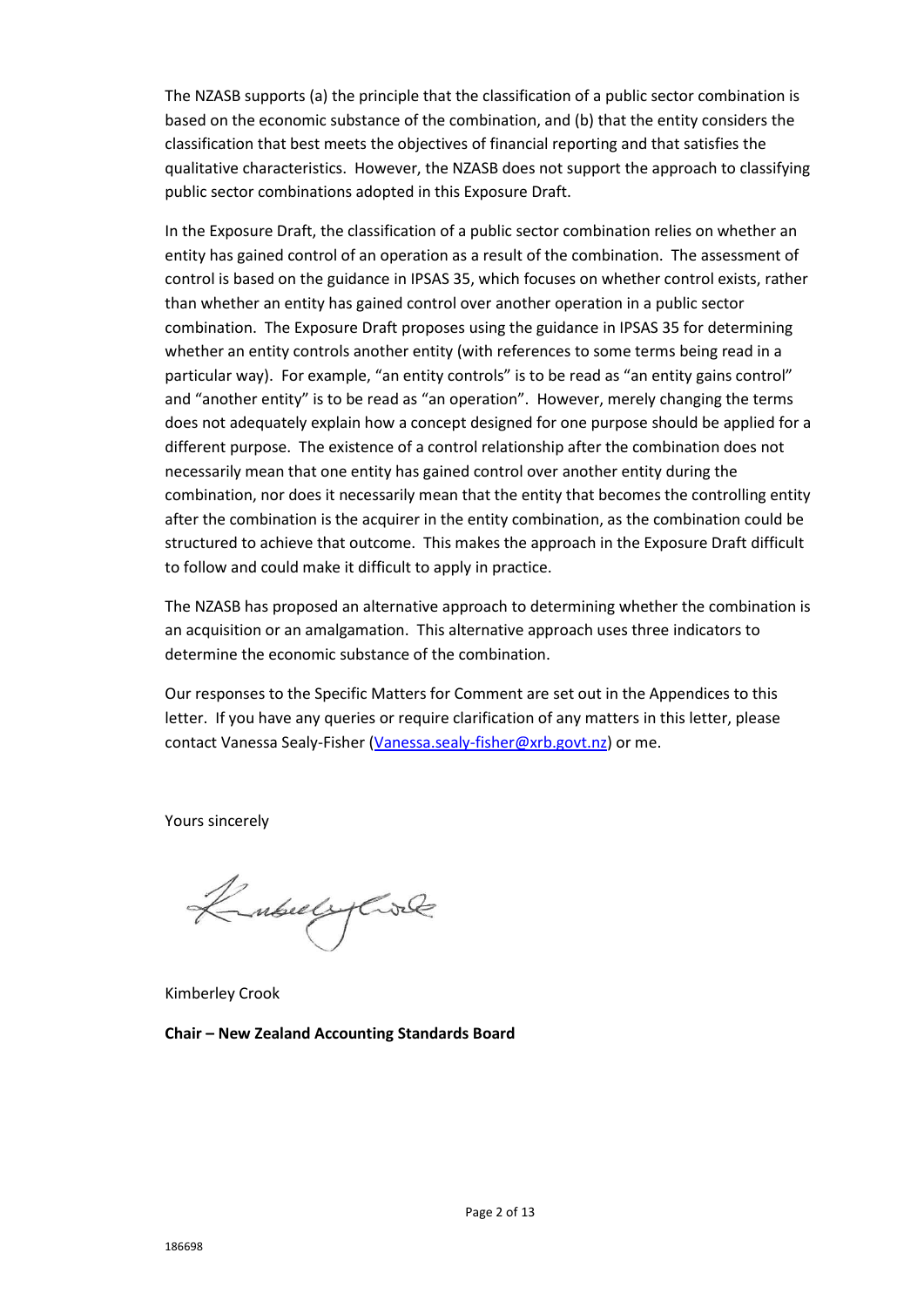The NZASB supports (a) the principle that the classification of a public sector combination is based on the economic substance of the combination, and (b) that the entity considers the classification that best meets the objectives of financial reporting and that satisfies the qualitative characteristics. However, the NZASB does not support the approach to classifying public sector combinations adopted in this Exposure Draft.

In the Exposure Draft, the classification of a public sector combination relies on whether an entity has gained control of an operation as a result of the combination. The assessment of control is based on the guidance in IPSAS 35, which focuses on whether control exists, rather than whether an entity has gained control over another operation in a public sector combination. The Exposure Draft proposes using the guidance in IPSAS 35 for determining whether an entity controls another entity (with references to some terms being read in a particular way). For example, "an entity controls" is to be read as "an entity gains control" and "another entity" is to be read as "an operation". However, merely changing the terms does not adequately explain how a concept designed for one purpose should be applied for a different purpose. The existence of a control relationship after the combination does not necessarily mean that one entity has gained control over another entity during the combination, nor does it necessarily mean that the entity that becomes the controlling entity after the combination is the acquirer in the entity combination, as the combination could be structured to achieve that outcome. This makes the approach in the Exposure Draft difficult to follow and could make it difficult to apply in practice.

The NZASB has proposed an alternative approach to determining whether the combination is an acquisition or an amalgamation. This alternative approach uses three indicators to determine the economic substance of the combination.

Our responses to the Specific Matters for Comment are set out in the Appendices to this letter. If you have any queries or require clarification of any matters in this letter, please contact Vanessa Sealy-Fisher [\(Vanessa.sealy-fisher@xrb.govt.nz\)](mailto:Vanessa.sealy-fisher@xrb.govt.nz) or me.

Yours sincerely

Kubuly Cole

Kimberley Crook

**Chair – New Zealand Accounting Standards Board**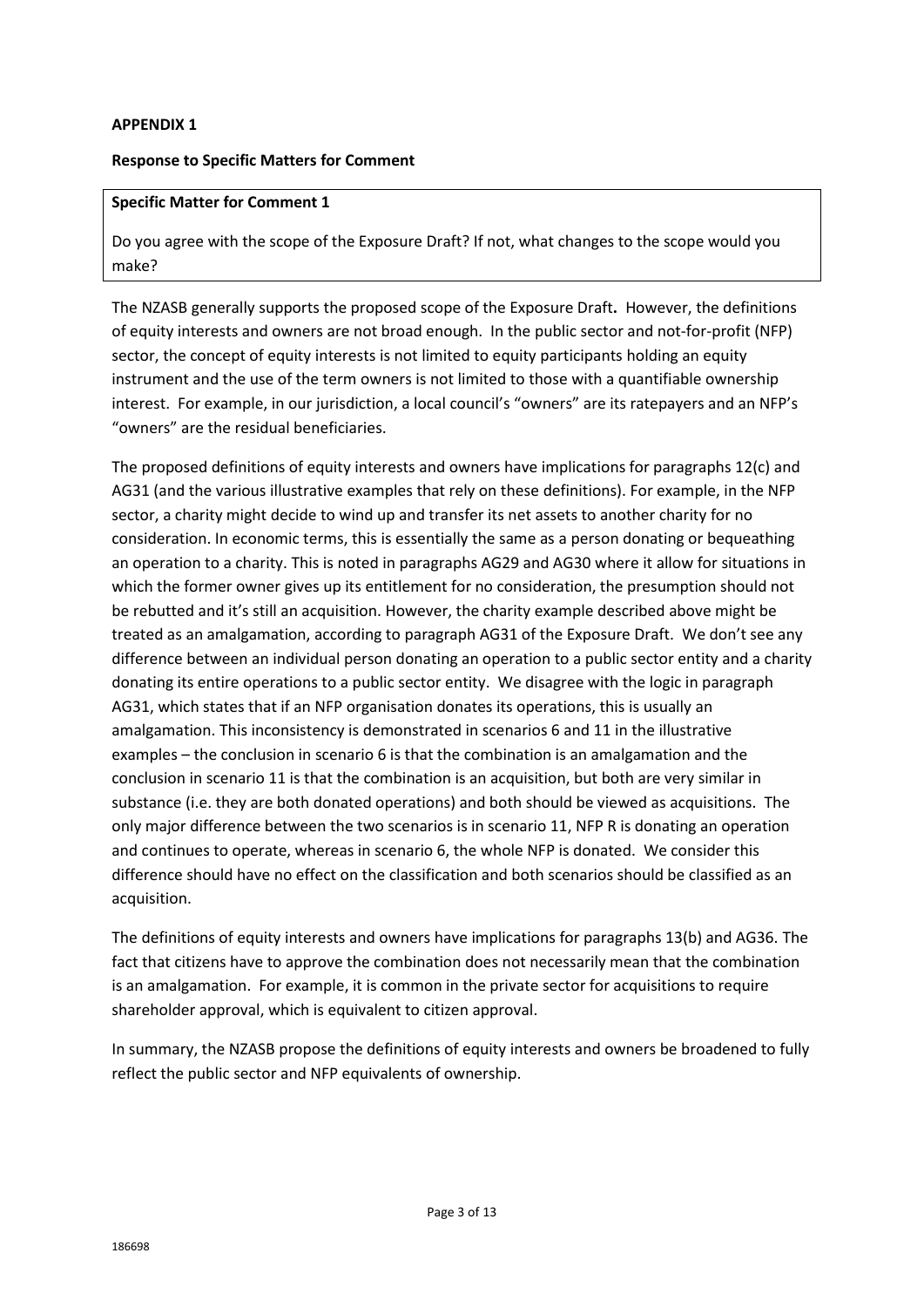## **APPENDIX 1**

### **Response to Specific Matters for Comment**

### **Specific Matter for Comment 1**

Do you agree with the scope of the Exposure Draft? If not, what changes to the scope would you make?

The NZASB generally supports the proposed scope of the Exposure Draft**.** However, the definitions of equity interests and owners are not broad enough. In the public sector and not-for-profit (NFP) sector, the concept of equity interests is not limited to equity participants holding an equity instrument and the use of the term owners is not limited to those with a quantifiable ownership interest. For example, in our jurisdiction, a local council's "owners" are its ratepayers and an NFP's "owners" are the residual beneficiaries.

The proposed definitions of equity interests and owners have implications for paragraphs 12(c) and AG31 (and the various illustrative examples that rely on these definitions). For example, in the NFP sector, a charity might decide to wind up and transfer its net assets to another charity for no consideration. In economic terms, this is essentially the same as a person donating or bequeathing an operation to a charity. This is noted in paragraphs AG29 and AG30 where it allow for situations in which the former owner gives up its entitlement for no consideration, the presumption should not be rebutted and it's still an acquisition. However, the charity example described above might be treated as an amalgamation, according to paragraph AG31 of the Exposure Draft. We don't see any difference between an individual person donating an operation to a public sector entity and a charity donating its entire operations to a public sector entity. We disagree with the logic in paragraph AG31, which states that if an NFP organisation donates its operations, this is usually an amalgamation. This inconsistency is demonstrated in scenarios 6 and 11 in the illustrative examples – the conclusion in scenario 6 is that the combination is an amalgamation and the conclusion in scenario 11 is that the combination is an acquisition, but both are very similar in substance (i.e. they are both donated operations) and both should be viewed as acquisitions. The only major difference between the two scenarios is in scenario 11, NFP R is donating an operation and continues to operate, whereas in scenario 6, the whole NFP is donated. We consider this difference should have no effect on the classification and both scenarios should be classified as an acquisition.

The definitions of equity interests and owners have implications for paragraphs 13(b) and AG36. The fact that citizens have to approve the combination does not necessarily mean that the combination is an amalgamation. For example, it is common in the private sector for acquisitions to require shareholder approval, which is equivalent to citizen approval.

In summary, the NZASB propose the definitions of equity interests and owners be broadened to fully reflect the public sector and NFP equivalents of ownership.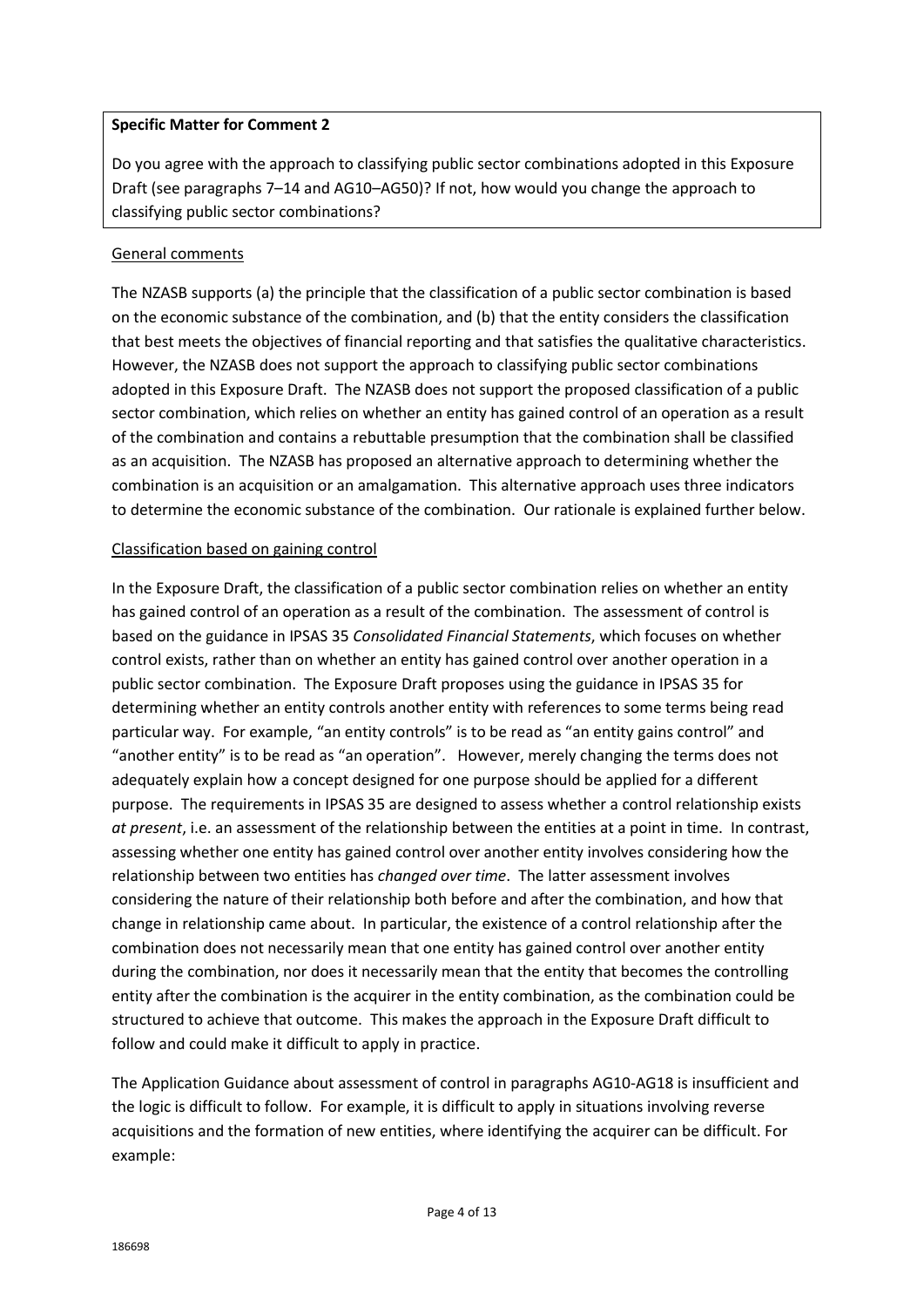## **Specific Matter for Comment 2**

Do you agree with the approach to classifying public sector combinations adopted in this Exposure Draft (see paragraphs 7–14 and AG10–AG50)? If not, how would you change the approach to classifying public sector combinations?

# General comments

The NZASB supports (a) the principle that the classification of a public sector combination is based on the economic substance of the combination, and (b) that the entity considers the classification that best meets the objectives of financial reporting and that satisfies the qualitative characteristics. However, the NZASB does not support the approach to classifying public sector combinations adopted in this Exposure Draft. The NZASB does not support the proposed classification of a public sector combination, which relies on whether an entity has gained control of an operation as a result of the combination and contains a rebuttable presumption that the combination shall be classified as an acquisition. The NZASB has proposed an alternative approach to determining whether the combination is an acquisition or an amalgamation. This alternative approach uses three indicators to determine the economic substance of the combination. Our rationale is explained further below.

## Classification based on gaining control

In the Exposure Draft, the classification of a public sector combination relies on whether an entity has gained control of an operation as a result of the combination. The assessment of control is based on the guidance in IPSAS 35 *Consolidated Financial Statements*, which focuses on whether control exists, rather than on whether an entity has gained control over another operation in a public sector combination. The Exposure Draft proposes using the guidance in IPSAS 35 for determining whether an entity controls another entity with references to some terms being read particular way. For example, "an entity controls" is to be read as "an entity gains control" and "another entity" is to be read as "an operation". However, merely changing the terms does not adequately explain how a concept designed for one purpose should be applied for a different purpose. The requirements in IPSAS 35 are designed to assess whether a control relationship exists *at present*, i.e. an assessment of the relationship between the entities at a point in time. In contrast, assessing whether one entity has gained control over another entity involves considering how the relationship between two entities has *changed over time*. The latter assessment involves considering the nature of their relationship both before and after the combination, and how that change in relationship came about. In particular, the existence of a control relationship after the combination does not necessarily mean that one entity has gained control over another entity during the combination, nor does it necessarily mean that the entity that becomes the controlling entity after the combination is the acquirer in the entity combination, as the combination could be structured to achieve that outcome. This makes the approach in the Exposure Draft difficult to follow and could make it difficult to apply in practice.

The Application Guidance about assessment of control in paragraphs AG10-AG18 is insufficient and the logic is difficult to follow. For example, it is difficult to apply in situations involving reverse acquisitions and the formation of new entities, where identifying the acquirer can be difficult. For example: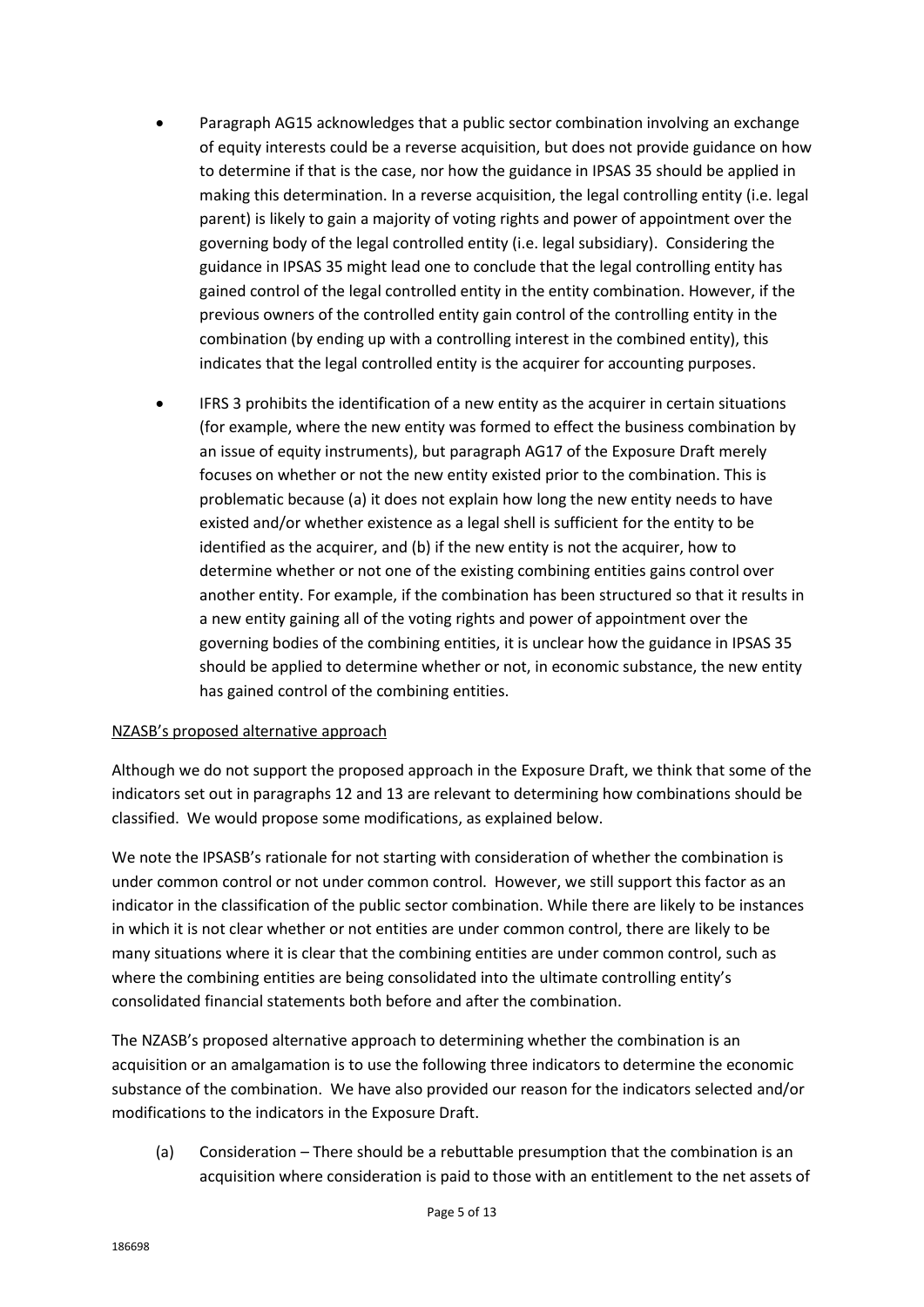- Paragraph AG15 acknowledges that a public sector combination involving an exchange of equity interests could be a reverse acquisition, but does not provide guidance on how to determine if that is the case, nor how the guidance in IPSAS 35 should be applied in making this determination. In a reverse acquisition, the legal controlling entity (i.e. legal parent) is likely to gain a majority of voting rights and power of appointment over the governing body of the legal controlled entity (i.e. legal subsidiary). Considering the guidance in IPSAS 35 might lead one to conclude that the legal controlling entity has gained control of the legal controlled entity in the entity combination. However, if the previous owners of the controlled entity gain control of the controlling entity in the combination (by ending up with a controlling interest in the combined entity), this indicates that the legal controlled entity is the acquirer for accounting purposes.
- IFRS 3 prohibits the identification of a new entity as the acquirer in certain situations (for example, where the new entity was formed to effect the business combination by an issue of equity instruments), but paragraph AG17 of the Exposure Draft merely focuses on whether or not the new entity existed prior to the combination. This is problematic because (a) it does not explain how long the new entity needs to have existed and/or whether existence as a legal shell is sufficient for the entity to be identified as the acquirer, and (b) if the new entity is not the acquirer, how to determine whether or not one of the existing combining entities gains control over another entity. For example, if the combination has been structured so that it results in a new entity gaining all of the voting rights and power of appointment over the governing bodies of the combining entities, it is unclear how the guidance in IPSAS 35 should be applied to determine whether or not, in economic substance, the new entity has gained control of the combining entities.

# NZASB's proposed alternative approach

Although we do not support the proposed approach in the Exposure Draft, we think that some of the indicators set out in paragraphs 12 and 13 are relevant to determining how combinations should be classified. We would propose some modifications, as explained below.

We note the IPSASB's rationale for not starting with consideration of whether the combination is under common control or not under common control. However, we still support this factor as an indicator in the classification of the public sector combination. While there are likely to be instances in which it is not clear whether or not entities are under common control, there are likely to be many situations where it is clear that the combining entities are under common control, such as where the combining entities are being consolidated into the ultimate controlling entity's consolidated financial statements both before and after the combination.

The NZASB's proposed alternative approach to determining whether the combination is an acquisition or an amalgamation is to use the following three indicators to determine the economic substance of the combination. We have also provided our reason for the indicators selected and/or modifications to the indicators in the Exposure Draft.

(a) Consideration *–* There should be a rebuttable presumption that the combination is an acquisition where consideration is paid to those with an entitlement to the net assets of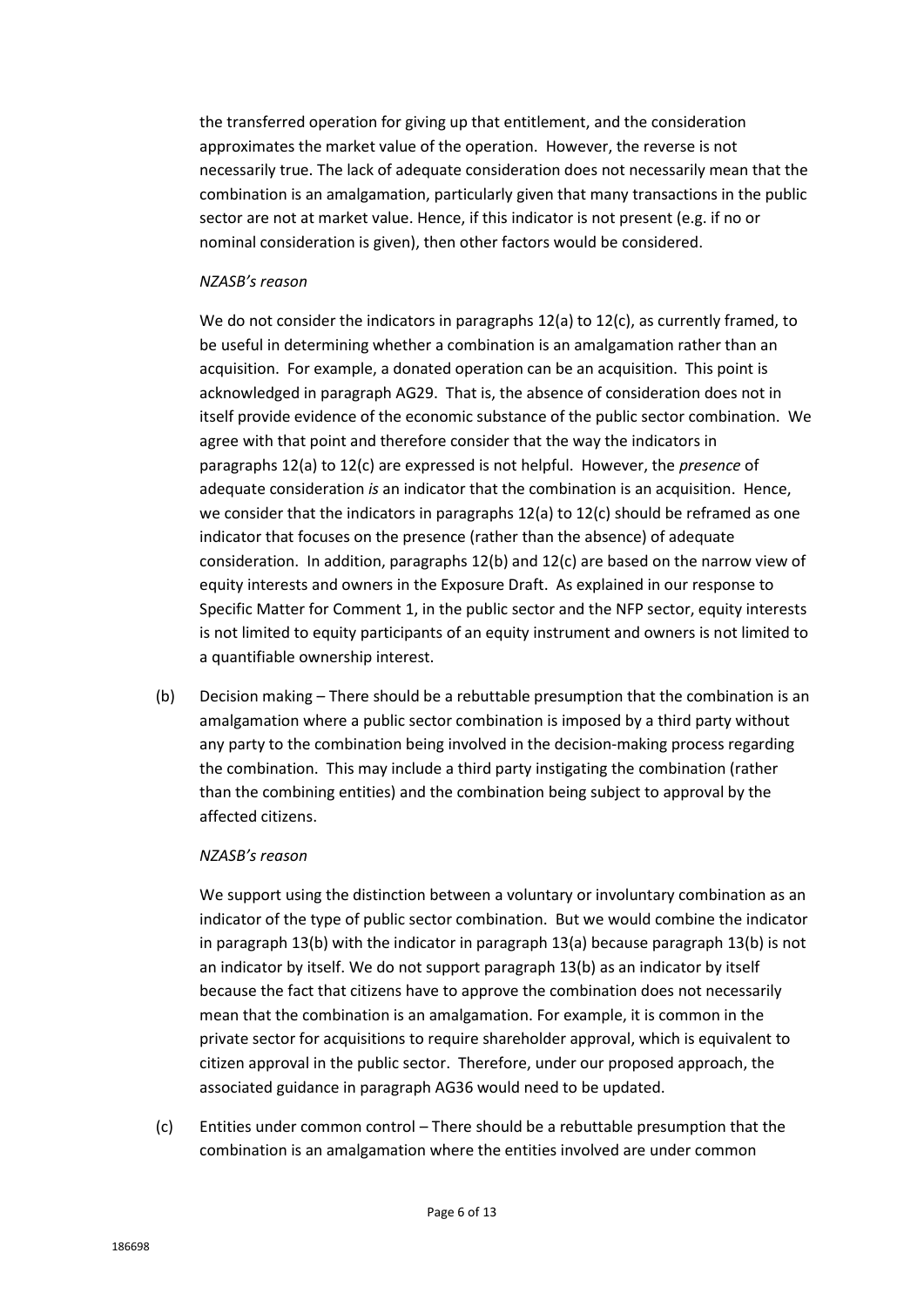the transferred operation for giving up that entitlement, and the consideration approximates the market value of the operation. However, the reverse is not necessarily true. The lack of adequate consideration does not necessarily mean that the combination is an amalgamation, particularly given that many transactions in the public sector are not at market value. Hence, if this indicator is not present (e.g. if no or nominal consideration is given), then other factors would be considered.

### *NZASB's reason*

We do not consider the indicators in paragraphs 12(a) to 12(c), as currently framed, to be useful in determining whether a combination is an amalgamation rather than an acquisition. For example, a donated operation can be an acquisition. This point is acknowledged in paragraph AG29. That is, the absence of consideration does not in itself provide evidence of the economic substance of the public sector combination. We agree with that point and therefore consider that the way the indicators in paragraphs 12(a) to 12(c) are expressed is not helpful. However, the *presence* of adequate consideration *is* an indicator that the combination is an acquisition. Hence, we consider that the indicators in paragraphs 12(a) to 12(c) should be reframed as one indicator that focuses on the presence (rather than the absence) of adequate consideration. In addition, paragraphs 12(b) and 12(c) are based on the narrow view of equity interests and owners in the Exposure Draft. As explained in our response to Specific Matter for Comment 1, in the public sector and the NFP sector, equity interests is not limited to equity participants of an equity instrument and owners is not limited to a quantifiable ownership interest.

(b) Decision making – There should be a rebuttable presumption that the combination is an amalgamation where a public sector combination is imposed by a third party without any party to the combination being involved in the decision-making process regarding the combination. This may include a third party instigating the combination (rather than the combining entities) and the combination being subject to approval by the affected citizens.

### *NZASB's reason*

We support using the distinction between a voluntary or involuntary combination as an indicator of the type of public sector combination. But we would combine the indicator in paragraph 13(b) with the indicator in paragraph 13(a) because paragraph 13(b) is not an indicator by itself. We do not support paragraph 13(b) as an indicator by itself because the fact that citizens have to approve the combination does not necessarily mean that the combination is an amalgamation. For example, it is common in the private sector for acquisitions to require shareholder approval, which is equivalent to citizen approval in the public sector. Therefore, under our proposed approach, the associated guidance in paragraph AG36 would need to be updated.

(c) Entities under common control – There should be a rebuttable presumption that the combination is an amalgamation where the entities involved are under common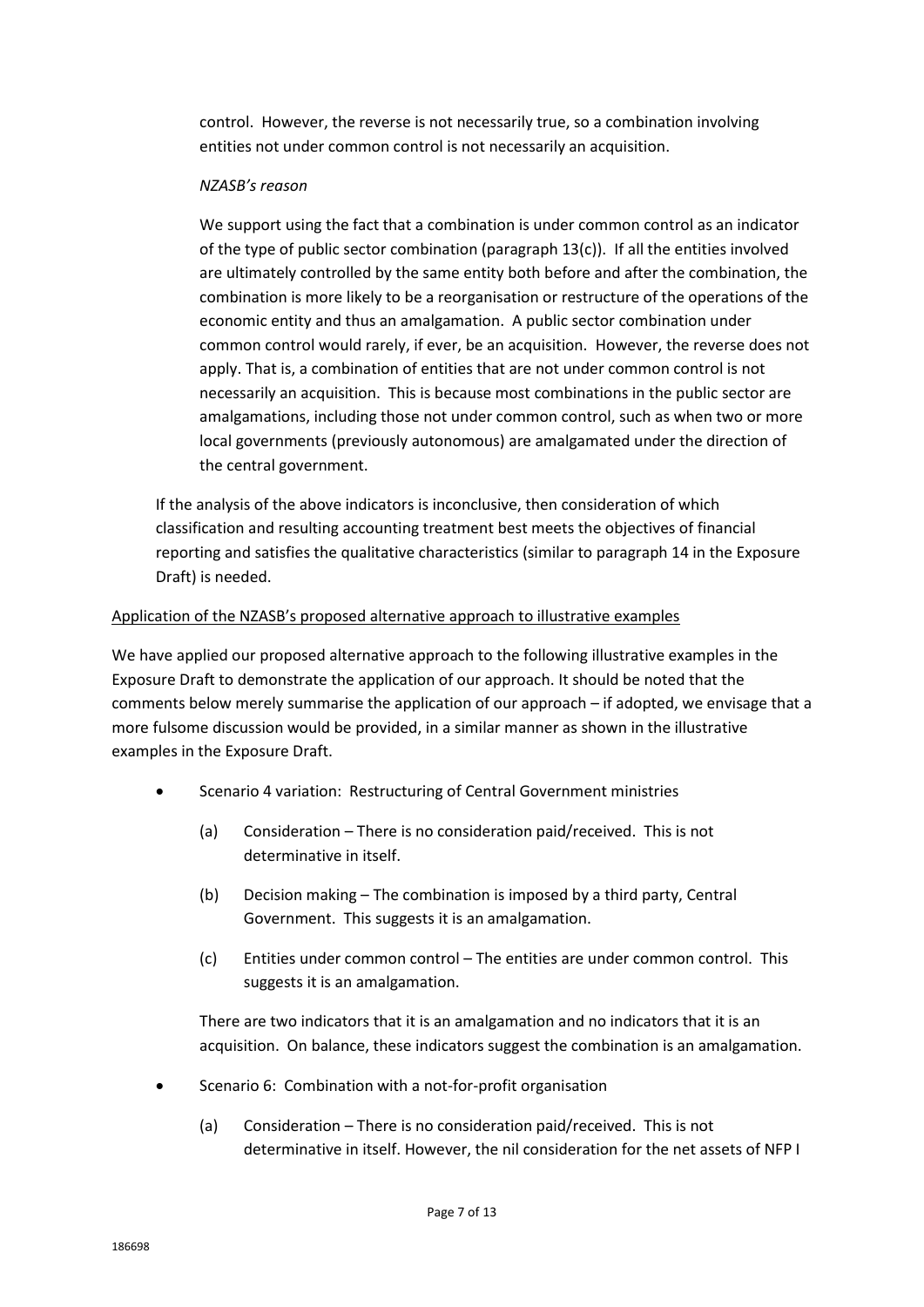control. However, the reverse is not necessarily true, so a combination involving entities not under common control is not necessarily an acquisition.

## *NZASB's reason*

We support using the fact that a combination is under common control as an indicator of the type of public sector combination (paragraph 13(c)). If all the entities involved are ultimately controlled by the same entity both before and after the combination, the combination is more likely to be a reorganisation or restructure of the operations of the economic entity and thus an amalgamation. A public sector combination under common control would rarely, if ever, be an acquisition. However, the reverse does not apply. That is, a combination of entities that are not under common control is not necessarily an acquisition. This is because most combinations in the public sector are amalgamations, including those not under common control, such as when two or more local governments (previously autonomous) are amalgamated under the direction of the central government.

If the analysis of the above indicators is inconclusive, then consideration of which classification and resulting accounting treatment best meets the objectives of financial reporting and satisfies the qualitative characteristics (similar to paragraph 14 in the Exposure Draft) is needed.

# Application of the NZASB's proposed alternative approach to illustrative examples

We have applied our proposed alternative approach to the following illustrative examples in the Exposure Draft to demonstrate the application of our approach. It should be noted that the comments below merely summarise the application of our approach – if adopted, we envisage that a more fulsome discussion would be provided, in a similar manner as shown in the illustrative examples in the Exposure Draft.

- Scenario 4 variation: Restructuring of Central Government ministries
	- (a) Consideration There is no consideration paid/received. This is not determinative in itself.
	- (b) Decision making The combination is imposed by a third party, Central Government. This suggests it is an amalgamation.
	- (c) Entities under common control The entities are under common control. This suggests it is an amalgamation.

There are two indicators that it is an amalgamation and no indicators that it is an acquisition. On balance, these indicators suggest the combination is an amalgamation.

- Scenario 6: Combination with a not-for-profit organisation
	- (a) Consideration There is no consideration paid/received. This is not determinative in itself. However, the nil consideration for the net assets of NFP I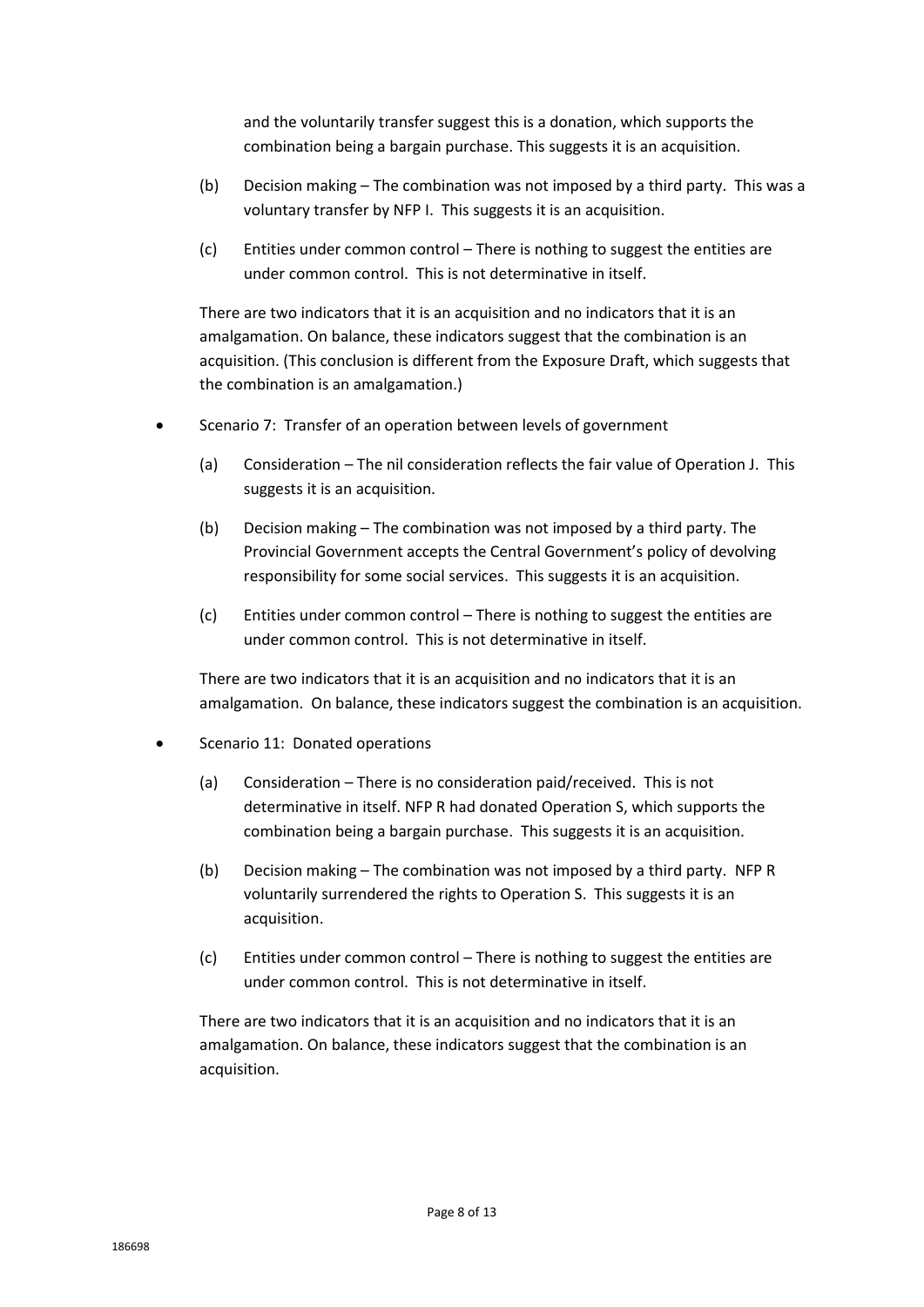and the voluntarily transfer suggest this is a donation, which supports the combination being a bargain purchase. This suggests it is an acquisition.

- (b) Decision making The combination was not imposed by a third party. This was a voluntary transfer by NFP I. This suggests it is an acquisition.
- (c) Entities under common control There is nothing to suggest the entities are under common control. This is not determinative in itself.

There are two indicators that it is an acquisition and no indicators that it is an amalgamation. On balance, these indicators suggest that the combination is an acquisition. (This conclusion is different from the Exposure Draft, which suggests that the combination is an amalgamation.)

- Scenario 7: Transfer of an operation between levels of government
	- (a) Consideration The nil consideration reflects the fair value of Operation J. This suggests it is an acquisition.
	- (b) Decision making The combination was not imposed by a third party. The Provincial Government accepts the Central Government's policy of devolving responsibility for some social services. This suggests it is an acquisition.
	- (c) Entities under common control There is nothing to suggest the entities are under common control. This is not determinative in itself.

There are two indicators that it is an acquisition and no indicators that it is an amalgamation. On balance, these indicators suggest the combination is an acquisition.

- Scenario 11: Donated operations
	- (a) Consideration There is no consideration paid/received. This is not determinative in itself. NFP R had donated Operation S, which supports the combination being a bargain purchase. This suggests it is an acquisition.
	- (b) Decision making The combination was not imposed by a third party. NFP R voluntarily surrendered the rights to Operation S. This suggests it is an acquisition.
	- (c) Entities under common control There is nothing to suggest the entities are under common control. This is not determinative in itself.

There are two indicators that it is an acquisition and no indicators that it is an amalgamation. On balance, these indicators suggest that the combination is an acquisition.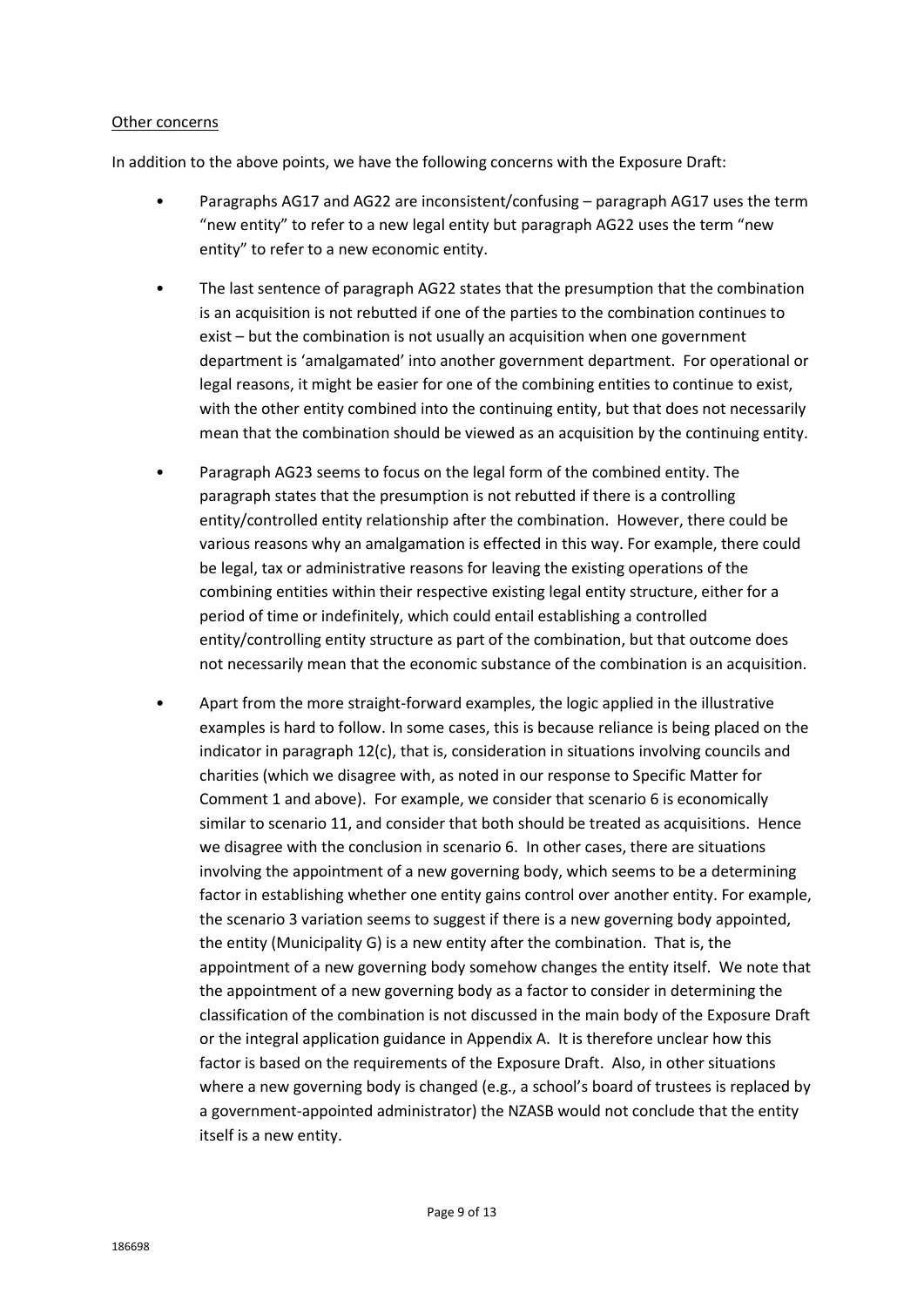#### Other concerns

In addition to the above points, we have the following concerns with the Exposure Draft:

- Paragraphs AG17 and AG22 are inconsistent/confusing paragraph AG17 uses the term "new entity" to refer to a new legal entity but paragraph AG22 uses the term "new entity" to refer to a new economic entity.
- The last sentence of paragraph AG22 states that the presumption that the combination is an acquisition is not rebutted if one of the parties to the combination continues to exist – but the combination is not usually an acquisition when one government department is 'amalgamated' into another government department. For operational or legal reasons, it might be easier for one of the combining entities to continue to exist, with the other entity combined into the continuing entity, but that does not necessarily mean that the combination should be viewed as an acquisition by the continuing entity.
- Paragraph AG23 seems to focus on the legal form of the combined entity. The paragraph states that the presumption is not rebutted if there is a controlling entity/controlled entity relationship after the combination. However, there could be various reasons why an amalgamation is effected in this way. For example, there could be legal, tax or administrative reasons for leaving the existing operations of the combining entities within their respective existing legal entity structure, either for a period of time or indefinitely, which could entail establishing a controlled entity/controlling entity structure as part of the combination, but that outcome does not necessarily mean that the economic substance of the combination is an acquisition.
- Apart from the more straight-forward examples, the logic applied in the illustrative examples is hard to follow. In some cases, this is because reliance is being placed on the indicator in paragraph 12(c), that is, consideration in situations involving councils and charities (which we disagree with, as noted in our response to Specific Matter for Comment 1 and above). For example, we consider that scenario 6 is economically similar to scenario 11, and consider that both should be treated as acquisitions. Hence we disagree with the conclusion in scenario 6. In other cases, there are situations involving the appointment of a new governing body, which seems to be a determining factor in establishing whether one entity gains control over another entity. For example, the scenario 3 variation seems to suggest if there is a new governing body appointed, the entity (Municipality G) is a new entity after the combination. That is, the appointment of a new governing body somehow changes the entity itself. We note that the appointment of a new governing body as a factor to consider in determining the classification of the combination is not discussed in the main body of the Exposure Draft or the integral application guidance in Appendix A. It is therefore unclear how this factor is based on the requirements of the Exposure Draft. Also, in other situations where a new governing body is changed (e.g., a school's board of trustees is replaced by a government-appointed administrator) the NZASB would not conclude that the entity itself is a new entity.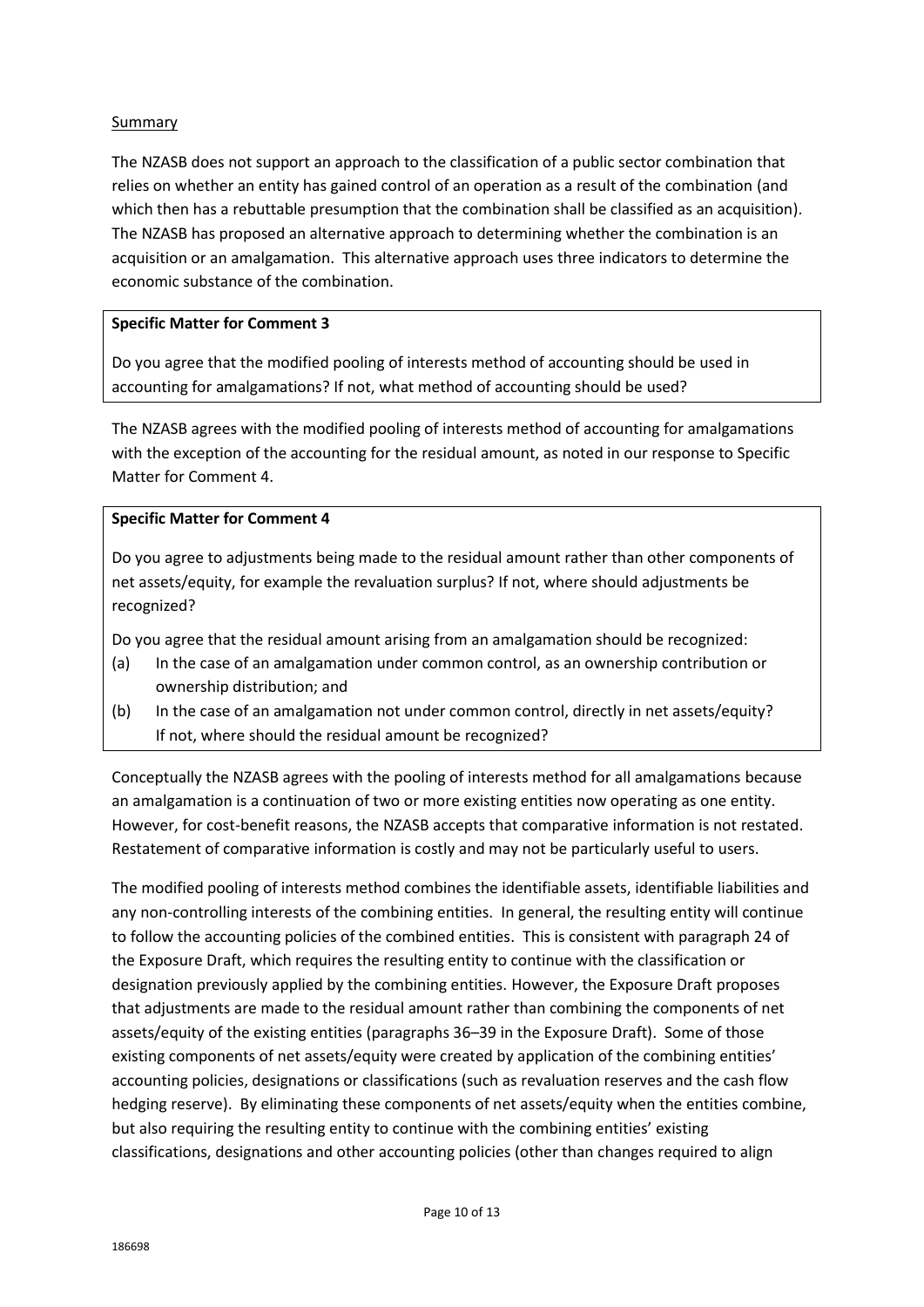# Summary

The NZASB does not support an approach to the classification of a public sector combination that relies on whether an entity has gained control of an operation as a result of the combination (and which then has a rebuttable presumption that the combination shall be classified as an acquisition). The NZASB has proposed an alternative approach to determining whether the combination is an acquisition or an amalgamation. This alternative approach uses three indicators to determine the economic substance of the combination.

## **Specific Matter for Comment 3**

Do you agree that the modified pooling of interests method of accounting should be used in accounting for amalgamations? If not, what method of accounting should be used?

The NZASB agrees with the modified pooling of interests method of accounting for amalgamations with the exception of the accounting for the residual amount, as noted in our response to Specific Matter for Comment 4.

## **Specific Matter for Comment 4**

Do you agree to adjustments being made to the residual amount rather than other components of net assets/equity, for example the revaluation surplus? If not, where should adjustments be recognized?

Do you agree that the residual amount arising from an amalgamation should be recognized:

- (a) In the case of an amalgamation under common control, as an ownership contribution or ownership distribution; and
- (b) In the case of an amalgamation not under common control, directly in net assets/equity? If not, where should the residual amount be recognized?

Conceptually the NZASB agrees with the pooling of interests method for all amalgamations because an amalgamation is a continuation of two or more existing entities now operating as one entity. However, for cost-benefit reasons, the NZASB accepts that comparative information is not restated. Restatement of comparative information is costly and may not be particularly useful to users.

The modified pooling of interests method combines the identifiable assets, identifiable liabilities and any non-controlling interests of the combining entities. In general, the resulting entity will continue to follow the accounting policies of the combined entities. This is consistent with paragraph 24 of the Exposure Draft, which requires the resulting entity to continue with the classification or designation previously applied by the combining entities. However, the Exposure Draft proposes that adjustments are made to the residual amount rather than combining the components of net assets/equity of the existing entities (paragraphs 36–39 in the Exposure Draft). Some of those existing components of net assets/equity were created by application of the combining entities' accounting policies, designations or classifications (such as revaluation reserves and the cash flow hedging reserve). By eliminating these components of net assets/equity when the entities combine, but also requiring the resulting entity to continue with the combining entities' existing classifications, designations and other accounting policies (other than changes required to align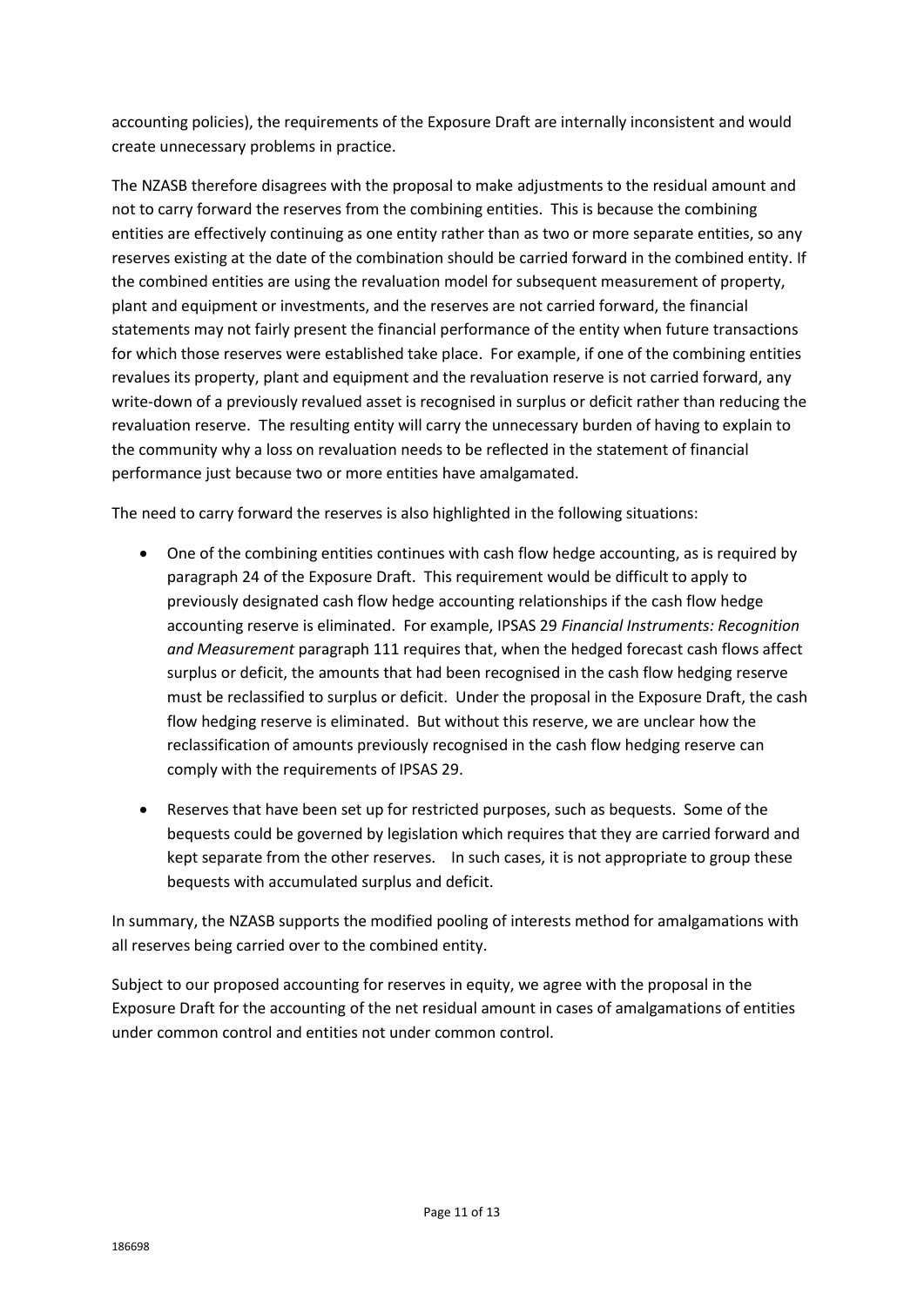accounting policies), the requirements of the Exposure Draft are internally inconsistent and would create unnecessary problems in practice.

The NZASB therefore disagrees with the proposal to make adjustments to the residual amount and not to carry forward the reserves from the combining entities. This is because the combining entities are effectively continuing as one entity rather than as two or more separate entities, so any reserves existing at the date of the combination should be carried forward in the combined entity. If the combined entities are using the revaluation model for subsequent measurement of property, plant and equipment or investments, and the reserves are not carried forward, the financial statements may not fairly present the financial performance of the entity when future transactions for which those reserves were established take place. For example, if one of the combining entities revalues its property, plant and equipment and the revaluation reserve is not carried forward, any write-down of a previously revalued asset is recognised in surplus or deficit rather than reducing the revaluation reserve. The resulting entity will carry the unnecessary burden of having to explain to the community why a loss on revaluation needs to be reflected in the statement of financial performance just because two or more entities have amalgamated.

The need to carry forward the reserves is also highlighted in the following situations:

- One of the combining entities continues with cash flow hedge accounting, as is required by paragraph 24 of the Exposure Draft. This requirement would be difficult to apply to previously designated cash flow hedge accounting relationships if the cash flow hedge accounting reserve is eliminated. For example, IPSAS 29 *Financial Instruments: Recognition and Measurement* paragraph 111 requires that, when the hedged forecast cash flows affect surplus or deficit, the amounts that had been recognised in the cash flow hedging reserve must be reclassified to surplus or deficit. Under the proposal in the Exposure Draft, the cash flow hedging reserve is eliminated. But without this reserve, we are unclear how the reclassification of amounts previously recognised in the cash flow hedging reserve can comply with the requirements of IPSAS 29.
- Reserves that have been set up for restricted purposes, such as bequests. Some of the bequests could be governed by legislation which requires that they are carried forward and kept separate from the other reserves. In such cases, it is not appropriate to group these bequests with accumulated surplus and deficit.

In summary, the NZASB supports the modified pooling of interests method for amalgamations with all reserves being carried over to the combined entity.

Subject to our proposed accounting for reserves in equity, we agree with the proposal in the Exposure Draft for the accounting of the net residual amount in cases of amalgamations of entities under common control and entities not under common control.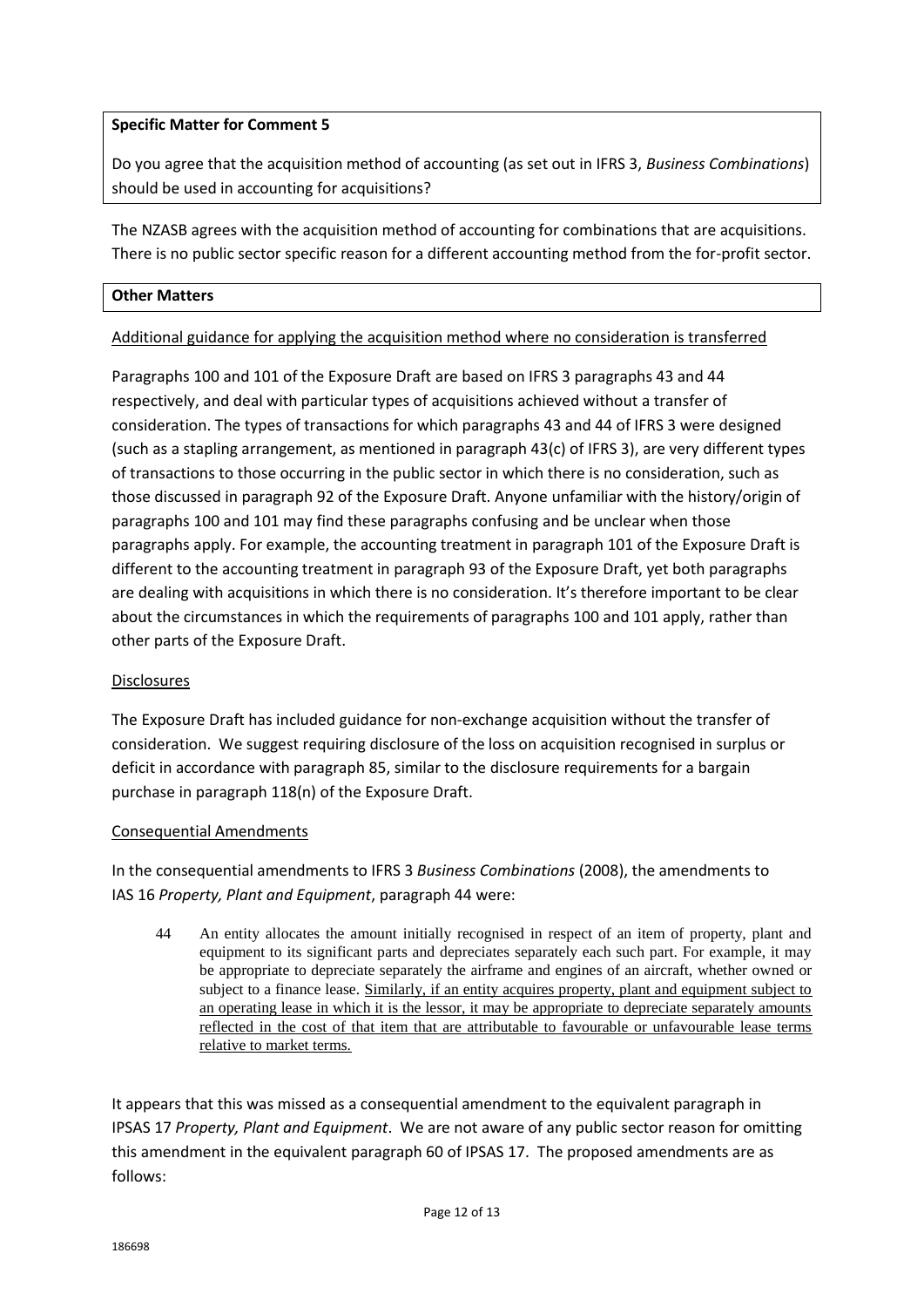## **Specific Matter for Comment 5**

Do you agree that the acquisition method of accounting (as set out in IFRS 3, *Business Combinations*) should be used in accounting for acquisitions?

The NZASB agrees with the acquisition method of accounting for combinations that are acquisitions. There is no public sector specific reason for a different accounting method from the for-profit sector.

### **Other Matters**

Additional guidance for applying the acquisition method where no consideration is transferred

Paragraphs 100 and 101 of the Exposure Draft are based on IFRS 3 paragraphs 43 and 44 respectively, and deal with particular types of acquisitions achieved without a transfer of consideration. The types of transactions for which paragraphs 43 and 44 of IFRS 3 were designed (such as a stapling arrangement, as mentioned in paragraph 43(c) of IFRS 3), are very different types of transactions to those occurring in the public sector in which there is no consideration, such as those discussed in paragraph 92 of the Exposure Draft. Anyone unfamiliar with the history/origin of paragraphs 100 and 101 may find these paragraphs confusing and be unclear when those paragraphs apply. For example, the accounting treatment in paragraph 101 of the Exposure Draft is different to the accounting treatment in paragraph 93 of the Exposure Draft, yet both paragraphs are dealing with acquisitions in which there is no consideration. It's therefore important to be clear about the circumstances in which the requirements of paragraphs 100 and 101 apply, rather than other parts of the Exposure Draft.

# **Disclosures**

The Exposure Draft has included guidance for non-exchange acquisition without the transfer of consideration. We suggest requiring disclosure of the loss on acquisition recognised in surplus or deficit in accordance with paragraph 85, similar to the disclosure requirements for a bargain purchase in paragraph 118(n) of the Exposure Draft.

### Consequential Amendments

In the consequential amendments to IFRS 3 *Business Combinations* (2008), the amendments to IAS 16 *Property, Plant and Equipment*, paragraph 44 were:

44 An entity allocates the amount initially recognised in respect of an item of property, plant and equipment to its significant parts and depreciates separately each such part. For example, it may be appropriate to depreciate separately the airframe and engines of an aircraft, whether owned or subject to a finance lease. Similarly, if an entity acquires property, plant and equipment subject to an operating lease in which it is the lessor, it may be appropriate to depreciate separately amounts reflected in the cost of that item that are attributable to favourable or unfavourable lease terms relative to market terms.

It appears that this was missed as a consequential amendment to the equivalent paragraph in IPSAS 17 *Property, Plant and Equipment*. We are not aware of any public sector reason for omitting this amendment in the equivalent paragraph 60 of IPSAS 17. The proposed amendments are as follows: